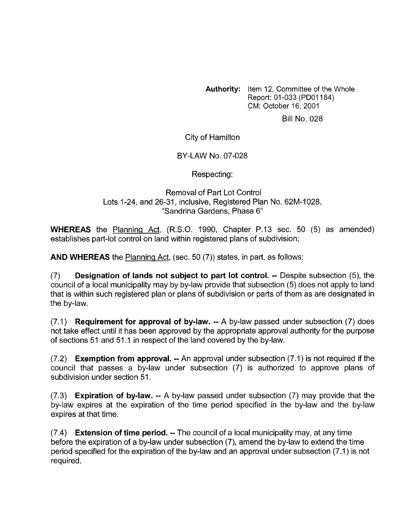**Authority:** Item 12, Committee of the Whole Report: 01-033 (PDOI 184) CM: October 16,2001

Bill No. 028

City of Hamilton

BY-LAW No. 07-028

Respecting:

Removal of Part Lot Control Lots 1-24, and 26-31, inclusive, Registered Plan No. 62M-1028, "Sandrina Gardens, Phase 6"

**WHEREAS** the Planning Act, (R.S.O. 1990, Chapter P.13 sec. 50 (5) as amended) establishes part-lot control on land within registered plans of subdivision;

**AND WHEREAS** the Planning Act, (sec. 50 (7)) states, in part, as follows:

(7) **Designation of lands not subject to part lot control.** -- Despite subsection *(5),* the council of a local municipality may by by-law provide that subsection (5) does not apply to land that is within such registered plan or plans of subdivision or parts of them as are designated in the by-law.

(7.1) **Requirement for approval of by-law.** -- A by-law passed under subsection (7) does not take effect until it has been approved by the appropriate approval authority for the purpose of sections 51 and 51.1 in respect of the land covered by the by-law.

(7.2) **Exemption from approval.** -- An approval under subsection (7.1) is not required if the council that passes a by-law under subsection (7) is authorized to approve plans of subdivision under section 51.

(7.3) **Expiration of bylaw.** -- A by-law passed under subsection (7) may provide that the by-law expires at the expiration of the time period specified in the by-law and the by-law expires at that time.

(7.4) **Extension of time period.** -- The council of a local municipality may, at any time before the expiration of a by-law under subsection (7), amend the by-law to extend the time period specified for the expiration of the by-law and an approval under subsection (7.1) is not required.